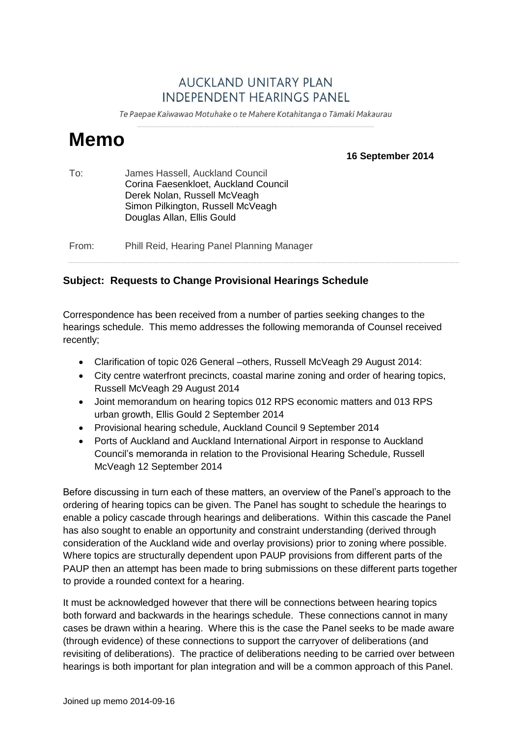## **AUCKLAND UNITARY PLAN INDEPENDENT HEARINGS PANEL**

Te Paepae Kaiwawao Motuhake o te Mahere Kotahitanga o Tāmaki Makaurau

# **Memo**

**16 September 2014**

| To:   | James Hassell, Auckland Council<br>Corina Faesenkloet, Auckland Council<br>Derek Nolan, Russell McVeagh<br>Simon Pilkington, Russell McVeagh<br>Douglas Allan, Ellis Gould |
|-------|----------------------------------------------------------------------------------------------------------------------------------------------------------------------------|
| From: | Phill Reid, Hearing Panel Planning Manager                                                                                                                                 |

### **Subject: Requests to Change Provisional Hearings Schedule**

Correspondence has been received from a number of parties seeking changes to the hearings schedule. This memo addresses the following memoranda of Counsel received recently;

- Clarification of topic 026 General –others, Russell McVeagh 29 August 2014:
- City centre waterfront precincts, coastal marine zoning and order of hearing topics, Russell McVeagh 29 August 2014
- Joint memorandum on hearing topics 012 RPS economic matters and 013 RPS urban growth, Ellis Gould 2 September 2014
- Provisional hearing schedule, Auckland Council 9 September 2014
- Ports of Auckland and Auckland International Airport in response to Auckland Council's memoranda in relation to the Provisional Hearing Schedule, Russell McVeagh 12 September 2014

Before discussing in turn each of these matters, an overview of the Panel's approach to the ordering of hearing topics can be given. The Panel has sought to schedule the hearings to enable a policy cascade through hearings and deliberations. Within this cascade the Panel has also sought to enable an opportunity and constraint understanding (derived through consideration of the Auckland wide and overlay provisions) prior to zoning where possible. Where topics are structurally dependent upon PAUP provisions from different parts of the PAUP then an attempt has been made to bring submissions on these different parts together to provide a rounded context for a hearing.

It must be acknowledged however that there will be connections between hearing topics both forward and backwards in the hearings schedule. These connections cannot in many cases be drawn within a hearing. Where this is the case the Panel seeks to be made aware (through evidence) of these connections to support the carryover of deliberations (and revisiting of deliberations). The practice of deliberations needing to be carried over between hearings is both important for plan integration and will be a common approach of this Panel.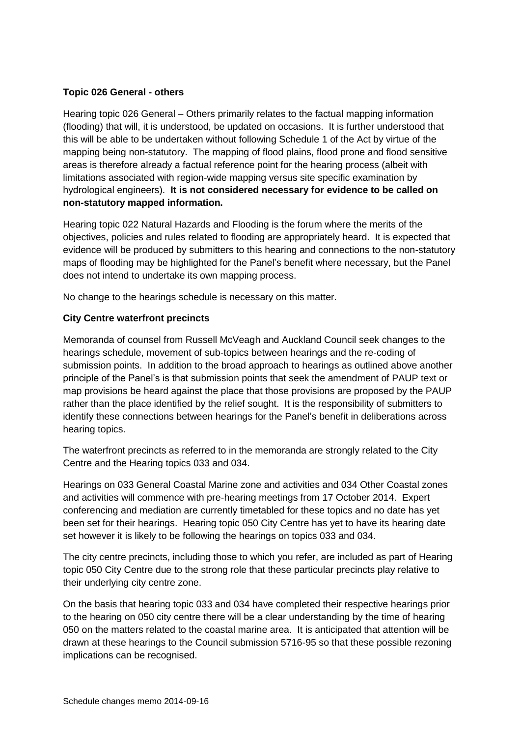#### **Topic 026 General - others**

Hearing topic 026 General – Others primarily relates to the factual mapping information (flooding) that will, it is understood, be updated on occasions. It is further understood that this will be able to be undertaken without following Schedule 1 of the Act by virtue of the mapping being non-statutory. The mapping of flood plains, flood prone and flood sensitive areas is therefore already a factual reference point for the hearing process (albeit with limitations associated with region-wide mapping versus site specific examination by hydrological engineers). **It is not considered necessary for evidence to be called on non-statutory mapped information.**

Hearing topic 022 Natural Hazards and Flooding is the forum where the merits of the objectives, policies and rules related to flooding are appropriately heard. It is expected that evidence will be produced by submitters to this hearing and connections to the non-statutory maps of flooding may be highlighted for the Panel's benefit where necessary, but the Panel does not intend to undertake its own mapping process.

No change to the hearings schedule is necessary on this matter.

#### **City Centre waterfront precincts**

Memoranda of counsel from Russell McVeagh and Auckland Council seek changes to the hearings schedule, movement of sub-topics between hearings and the re-coding of submission points. In addition to the broad approach to hearings as outlined above another principle of the Panel's is that submission points that seek the amendment of PAUP text or map provisions be heard against the place that those provisions are proposed by the PAUP rather than the place identified by the relief sought. It is the responsibility of submitters to identify these connections between hearings for the Panel's benefit in deliberations across hearing topics.

The waterfront precincts as referred to in the memoranda are strongly related to the City Centre and the Hearing topics 033 and 034.

Hearings on 033 General Coastal Marine zone and activities and 034 Other Coastal zones and activities will commence with pre-hearing meetings from 17 October 2014. Expert conferencing and mediation are currently timetabled for these topics and no date has yet been set for their hearings. Hearing topic 050 City Centre has yet to have its hearing date set however it is likely to be following the hearings on topics 033 and 034.

The city centre precincts, including those to which you refer, are included as part of Hearing topic 050 City Centre due to the strong role that these particular precincts play relative to their underlying city centre zone.

On the basis that hearing topic 033 and 034 have completed their respective hearings prior to the hearing on 050 city centre there will be a clear understanding by the time of hearing 050 on the matters related to the coastal marine area. It is anticipated that attention will be drawn at these hearings to the Council submission 5716-95 so that these possible rezoning implications can be recognised.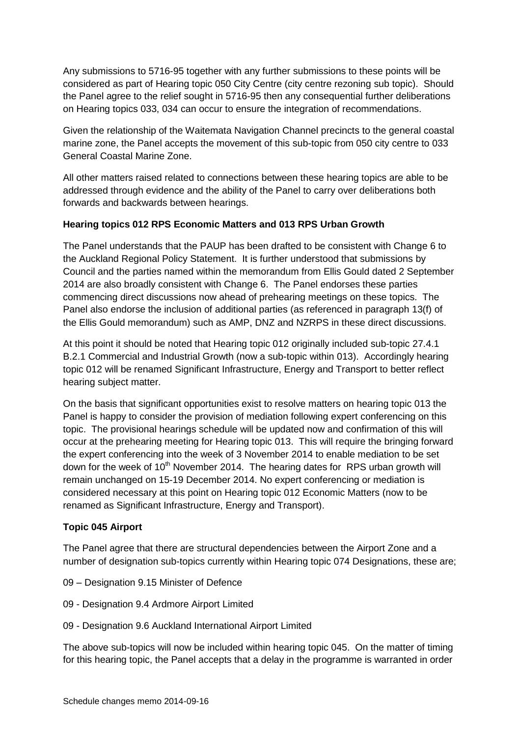Any submissions to 5716-95 together with any further submissions to these points will be considered as part of Hearing topic 050 City Centre (city centre rezoning sub topic). Should the Panel agree to the relief sought in 5716-95 then any consequential further deliberations on Hearing topics 033, 034 can occur to ensure the integration of recommendations.

Given the relationship of the Waitemata Navigation Channel precincts to the general coastal marine zone, the Panel accepts the movement of this sub-topic from 050 city centre to 033 General Coastal Marine Zone.

All other matters raised related to connections between these hearing topics are able to be addressed through evidence and the ability of the Panel to carry over deliberations both forwards and backwards between hearings.

#### **Hearing topics 012 RPS Economic Matters and 013 RPS Urban Growth**

The Panel understands that the PAUP has been drafted to be consistent with Change 6 to the Auckland Regional Policy Statement. It is further understood that submissions by Council and the parties named within the memorandum from Ellis Gould dated 2 September 2014 are also broadly consistent with Change 6. The Panel endorses these parties commencing direct discussions now ahead of prehearing meetings on these topics. The Panel also endorse the inclusion of additional parties (as referenced in paragraph 13(f) of the Ellis Gould memorandum) such as AMP, DNZ and NZRPS in these direct discussions.

At this point it should be noted that Hearing topic 012 originally included sub-topic 27.4.1 B.2.1 Commercial and Industrial Growth (now a sub-topic within 013). Accordingly hearing topic 012 will be renamed Significant Infrastructure, Energy and Transport to better reflect hearing subject matter.

On the basis that significant opportunities exist to resolve matters on hearing topic 013 the Panel is happy to consider the provision of mediation following expert conferencing on this topic. The provisional hearings schedule will be updated now and confirmation of this will occur at the prehearing meeting for Hearing topic 013. This will require the bringing forward the expert conferencing into the week of 3 November 2014 to enable mediation to be set down for the week of  $10<sup>th</sup>$  November 2014. The hearing dates for RPS urban growth will remain unchanged on 15-19 December 2014. No expert conferencing or mediation is considered necessary at this point on Hearing topic 012 Economic Matters (now to be renamed as Significant Infrastructure, Energy and Transport).

#### **Topic 045 Airport**

The Panel agree that there are structural dependencies between the Airport Zone and a number of designation sub-topics currently within Hearing topic 074 Designations, these are;

- 09 Designation 9.15 Minister of Defence
- 09 Designation 9.4 Ardmore Airport Limited
- 09 Designation 9.6 Auckland International Airport Limited

The above sub-topics will now be included within hearing topic 045. On the matter of timing for this hearing topic, the Panel accepts that a delay in the programme is warranted in order